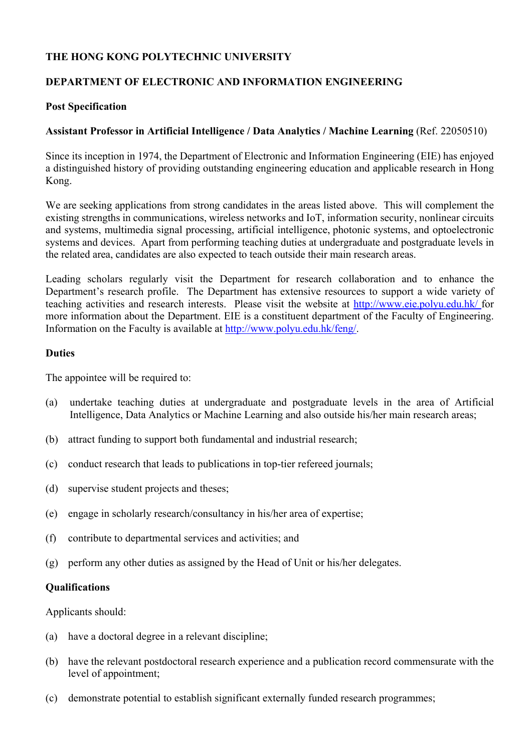# **THE HONG KONG POLYTECHNIC UNIVERSITY**

# **DEPARTMENT OF ELECTRONIC AND INFORMATION ENGINEERING**

### **Post Specification**

### **Assistant Professor in Artificial Intelligence / Data Analytics / Machine Learning** (Ref. 22050510)

Since its inception in 1974, the Department of Electronic and Information Engineering (EIE) has enjoyed a distinguished history of providing outstanding engineering education and applicable research in Hong Kong.

We are seeking applications from strong candidates in the areas listed above. This will complement the existing strengths in communications, wireless networks and IoT, information security, nonlinear circuits and systems, multimedia signal processing, artificial intelligence, photonic systems, and optoelectronic systems and devices. Apart from performing teaching duties at undergraduate and postgraduate levels in the related area, candidates are also expected to teach outside their main research areas.

Leading scholars regularly visit the Department for research collaboration and to enhance the Department's research profile. The Department has extensive resources to support a wide variety of teaching activities and research interests. Please visit the website at http://www.eie.polyu.edu.hk/ for more information about the Department. EIE is a constituent department of the Faculty of Engineering. Information on the Faculty is available at http://www.polyu.edu.hk/feng/.

#### **Duties**

The appointee will be required to:

- (a) undertake teaching duties at undergraduate and postgraduate levels in the area of Artificial Intelligence, Data Analytics or Machine Learning and also outside his/her main research areas;
- (b) attract funding to support both fundamental and industrial research;
- (c) conduct research that leads to publications in top-tier refereed journals;
- (d) supervise student projects and theses;
- (e) engage in scholarly research/consultancy in his/her area of expertise;
- (f) contribute to departmental services and activities; and
- (g) perform any other duties as assigned by the Head of Unit or his/her delegates.

#### **Qualifications**

Applicants should:

- (a) have a doctoral degree in a relevant discipline;
- (b) have the relevant postdoctoral research experience and a publication record commensurate with the level of appointment;
- (c) demonstrate potential to establish significant externally funded research programmes;